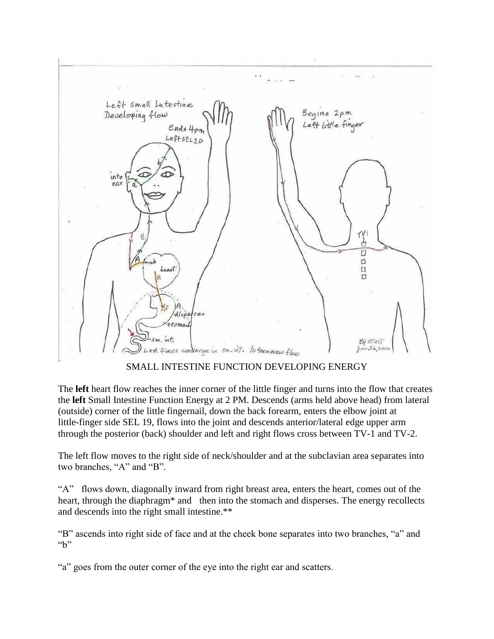

SMALL INTESTINE FUNCTION DEVELOPING ENERGY

The **left** heart flow reaches the inner corner of the little finger and turns into the flow that creates the **left** Small Intestine Function Energy at 2 PM. Descends (arms held above head) from lateral (outside) corner of the little fingernail, down the back forearm, enters the elbow joint at little-finger side SEL 19, flows into the joint and descends anterior/lateral edge upper arm through the posterior (back) shoulder and left and right flows cross between TV-1 and TV-2.

The left flow moves to the right side of neck/shoulder and at the subclavian area separates into two branches, "A" and "B".

"A" flows down, diagonally inward from right breast area, enters the heart, comes out of the heart, through the diaphragm<sup>\*</sup> and then into the stomach and disperses. The energy recollects and descends into the right small intestine.\*\*

"B" ascends into right side of face and at the cheek bone separates into two branches, "a" and  $\mathfrak{g}$ "

"a" goes from the outer corner of the eye into the right ear and scatters.